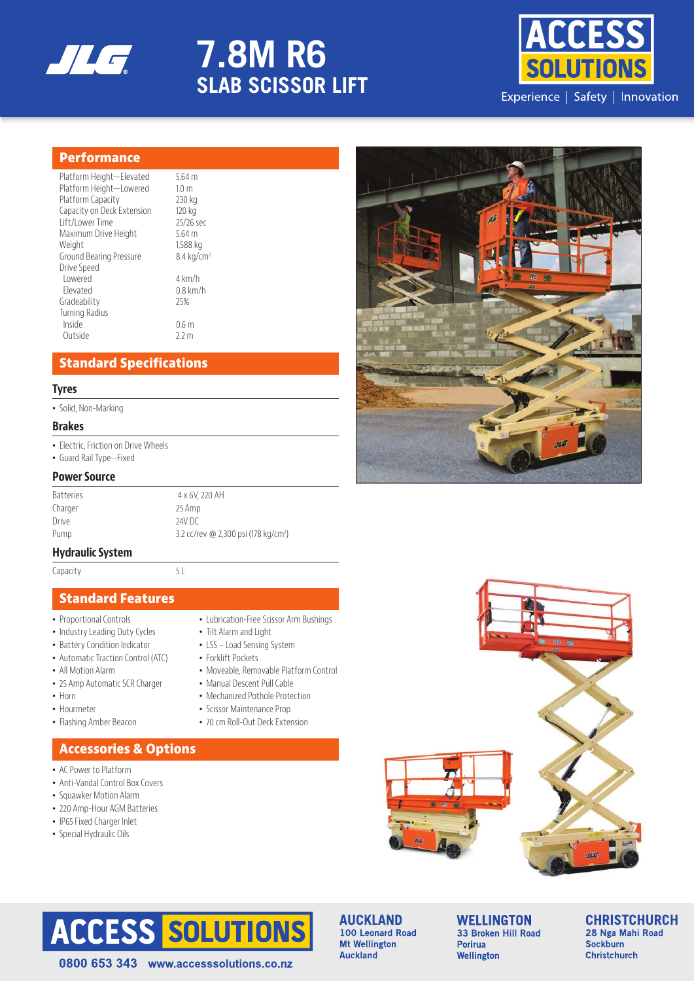

# **7.8M R6 SLAB SCISSOR LIFT**



## **Performance**

| Platform Height-Elevated   | $5.64$ m               |
|----------------------------|------------------------|
| Platform Height-Lowered    | 1.0 <sub>m</sub>       |
| Platform Capacity          | 230 kg                 |
| Capacity on Deck Extension | 120 kg                 |
| Lift/Lower Time            | 25/26 sec              |
| Maximum Drive Height       | $5.64$ m               |
| Weight                     | 1,588 kg               |
| Ground Bearing Pressure    | 8.4 kg/cm <sup>2</sup> |
| Drive Speed                |                        |
| Lowered                    | 4 km/h                 |
| Flevated                   | $0.8$ km/h             |
| Gradeability               | 25%                    |
| <b>Turning Radius</b>      |                        |
| Inside                     | 0.6 <sub>m</sub>       |
| Outside                    | 2.2 m                  |
|                            |                        |

## **Standard Specifications**

#### **Tyres**

• Solid, Non-Marking

#### **Brakes**

- Electric, Friction on Drive Wheels
- Guard Rail Type--Fixed

#### **Power Source**

| <b>Batteries</b> | 4 x 6V, 220 AH                                   |
|------------------|--------------------------------------------------|
| Charger          | 25 Amp                                           |
| Drive            | 24V DC                                           |
| Pump             | 3.2 cc/rev @ 2,300 psi (178 kg/cm <sup>2</sup> ) |

#### **Hydraulic System**

Capacity 5L

## **Standard Features**

- Proportional Controls
- Industry Leading Duty Cycles
- Battery Condition Indicator
- Automatic Traction Control (ATC)
- All Motion Alarm
- 25 Amp Automatic SCR Charger
- Horn
- Hourmeter
- Flashing Amber Beacon

## **Accessories & Options**

- AC Power to Platform
- Anti-Vandal Control Box Covers
- Squawker Motion Alarm
- 220 Amp-Hour AGM Batteries
- IP65 Fixed Charger Inlet
- Special Hydraulic Oils
- Lubrication-Free Scissor Arm Bushings
- Tilt Alarm and Light • LSS – Load Sensing System
- Forklift Pockets
- Moveable, Removable Platform Control
- Manual Descent Pull Cable
- Mechanized Pothole Protection
- Scissor Maintenance Prop
- 70 cm Roll-Out Deck Extension







0800 653 343 www.accesssolutions.co.nz

#### **AUCKLAND** 100 Leonard Road **Mt Wellington Auckland**

**WELLINGTON** 33 Broken Hill Road **Porirua** Wellington

**CHRISTCHURCH** 28 Nga Mahi Road Sockburn **Christchurch**